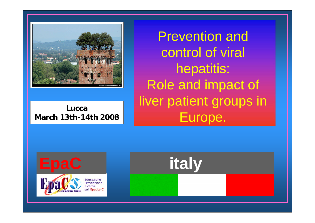

**LuccaMarch 13th-14th 2008**

Prevention and control of viral hepatitis: Role and impact of liver patient groups in Europe.

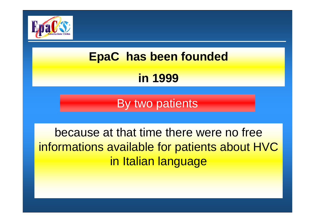

# **EpaC has been founded in 1999**

By two patients

because at that time there were no free informations available for patients about HVC in Italian language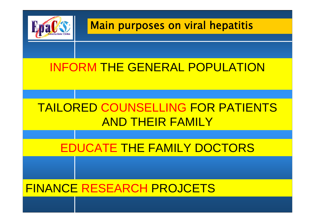

### Main purposes on viral hepatitis

## INFORM THE GENERAL POPULATION

## TAILORED COUNSELLING FOR PATIENTS AND THEIR FAMILY

### EDUCATE THE FAMILY DOCTORS

### FINANCE RESEARCH PROJCETS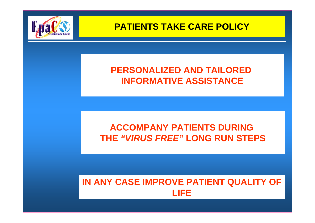

### **PERSONALIZED AND TAILORED INFORMATIVE ASSISTANCE**

### **ACCOMPANY PATIENTS DURING THE** *"VIRUS FREE"* **LONG RUN STEPS**

### **IN ANY CASE IMPROVE PATIENT QUALITY OF LIFE**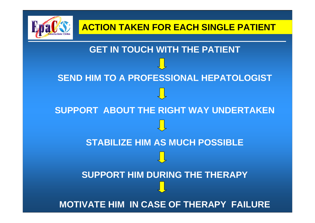

**GET IN TOUCH WITH THE PATIENT SEND HIM TO A PROFESSIONAL HEPATOLOGIST SUPPORT ABOUT THE RIGHT WAY UNDERTAKEN STABILIZE HIM AS MUCH POSSIBLESUPPORT HIM DURING THE THERAPY MOTIVATE HIM IN CASE OF THERAPY FAILURE**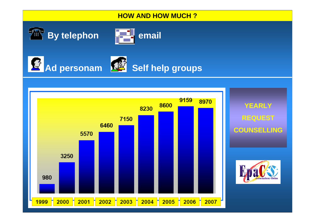### **HOW AND HOW MUCH ?**









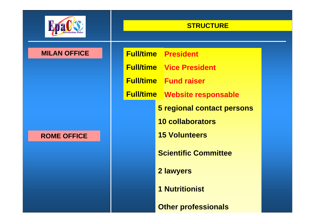

### **STRUCTURE**

#### **MILAN OFFICE**

#### **ROME OFFICE**

 **President Full/time Vice President Full/time Fund raiserFull/time Website responsable Full/time5 regional contact persons 10 collaborators 15 VolunteersScientific Committee2 lawyers 1 Nutritionist**

**Other professionals**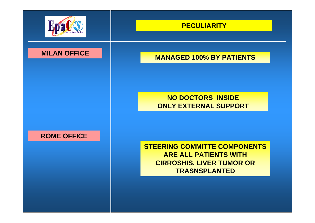

#### **MILAN OFFICE**

#### **ROME OFFICE**

#### **PECULIARITY**

#### **MANAGED 100% BY PATIENTS**

### **NO DOCTORS INSIDE ONLY EXTERNAL SUPPORT**

**STEERING COMMITTE COMPONENTS ARE ALL PATIENTS WITH CIRROSHIS, LIVER TUMOR OR TRASNSPLANTED**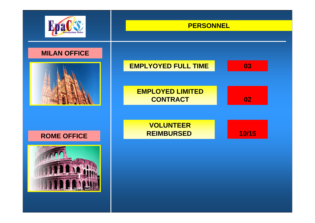

### **PERSONNEL**







#### **ROME OFFICE**

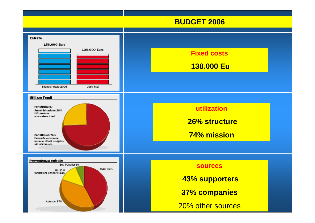#### **BUDGET 2006**

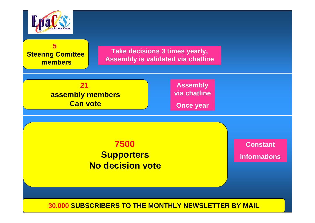

**5** 

**Steering Comittee members**

**Take decisions 3 times yearly, Assembly is validated via chatline**

**21assembly members Can vote**

**Assembly via chatline**

**Once year**

### **7500 Supporters No decision vote**

**Constantinformations**

#### **30.000 SUBSCRIBERS TO THE MONTHLY NEWSLETTER BY MAIL**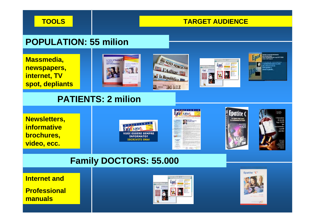**TOOLS**

#### **TARGET AUDIENCE**

### **POPULATION: 55 milion**

**Massmedia, newspapers, internet, TV spot, depliants**









### **PATIENTS: 2 milion**











### **Family DOCTORS: 55.000**

**Internet and**

**Professional manuals**



Epatite "C"

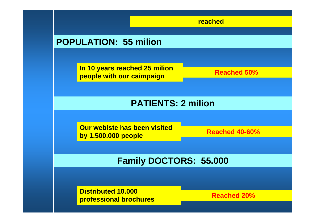**reached**

### **POPULATION: 55 milion**

**In 10 years reached 25 milion people with our caimpaign**

**Reached 50%**

### **PATIENTS: 2 milion**

**Our webiste has been visited by 1.500.000 people**

**Reached 40-60%**

### **Family DOCTORS: 55.000**

**Distributed 10.000 professional brochures**

**Reached 20%**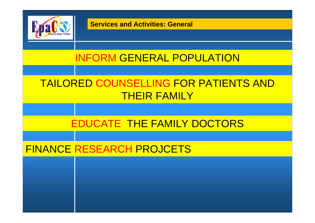

**Services and Activities: General**

### INFORM GENERAL POPULATION

### TAILORED COUNSELLING FOR PATIENTS AND THEIR FAMILY

### EDUCATE THE FAMILY DOCTORS

### FINANCE RESEARCH PROJCETS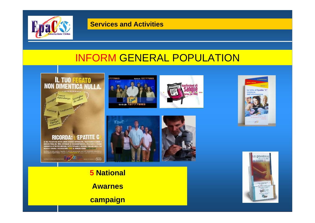

#### **Services and Activities**

### INFORM GENERAL POPULATION



У.









**Awarnes**

**campaign**



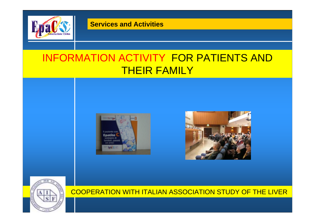

**Services and Activities**

### INFORMATION ACTIVITY FOR PATIENTS AND THEIR FAMILY







#### COOPERATION WITH ITALIAN ASSOCIATION STUDY OF THE LIVER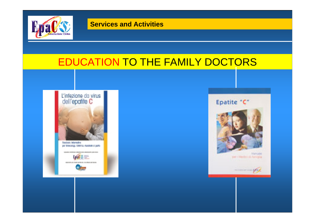

### EDUCATION TO THE FAMILY DOCTORS



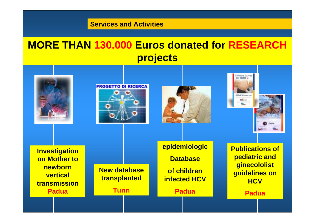**Services and Activities**

### **MORE THAN 130.000 Euros donated for RESEARCH projects**











**Investigation on Mother to newborn vertical transmission Padua**

**New database transplanted Turin**

**epidemiologic Databaseof children infected HCV**

**Padua**

**Publications of pediatric and ginecololist guidelines on HCV**

**Padua**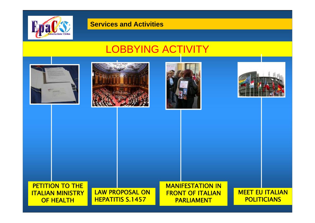

#### **Services and Activities**

### LOBBYING ACTIVITY









#### PETITION TO THE ITALIAN MINISTRY OF HEALTH

LAW PROPOSAL ON HEPATITIS S.1457

MANIFESTATION IN FRONT OF ITALIAN PARLIAMENT

MEET EU ITALIAN **POLITICIANS**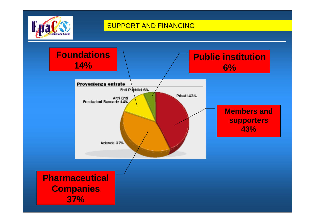

#### SUPPORT AND FINANCING

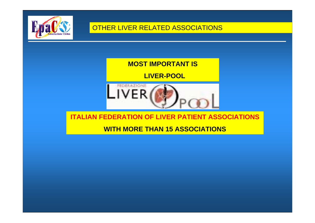

### **MOST IMPORTANT IS**

### **LIVER-POOL**



#### **ITALIAN FEDERATION OF LIVER PATIENT ASSOCIATIONS**

### **WITH MORE THAN 15 ASSOCIATIONS**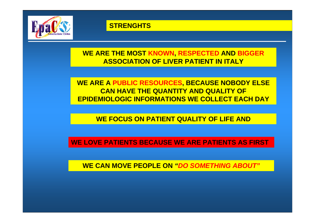

#### **STRENGHTS**

### **WE ARE THE MOST KNOWN, RESPECTED AND BIGGER ASSOCIATION OF LIVER PATIENT IN ITALY**

### **WE ARE A PUBLIC RESOURCES, BECAUSE NOBODY ELSE CAN HAVE THE QUANTITY AND QUALITY OF EPIDEMIOLOGIC INFORMATIONS WE COLLECT EACH DAY**

### **WE FOCUS ON PATIENT QUALITY OF LIFE AND**

#### **WE LOVE PATIENTS BECAUSE WE ARE PATIENTS AS FIRST**

**WE CAN MOVE PEOPLE ON** *"DO SOMETHING ABOUT"*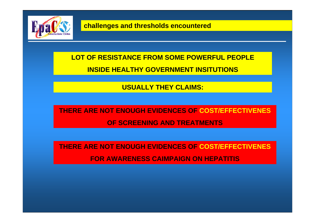

### **LOT OF RESISTANCE FROM SOME POWERFUL PEOPLEINSIDE HEALTHY GOVERNMENT INSITUTIONS**

#### **USUALLY THEY CLAIMS:**

**THERE ARE NOT ENOUGH EVIDENCES OF COST/EFFECTIVENESOF SCREENING AND TREATMENTS**

**THERE ARE NOT ENOUGH EVIDENCES OF COST/EFFECTIVENES FOR AWARENESS CAIMPAIGN ON HEPATITIS**